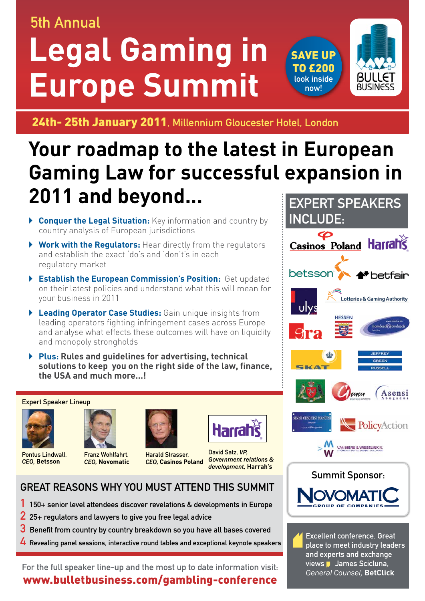## 5th Annual

# **Legal Gaming in Europe Summit**





24th- 25th January 2011, Millennium Gloucester Hotel, London

## **Your roadmap to the latest in European Gaming Law for successful expansion in 2011 and beyond...**

- ` **Conquer the Legal Situation:** Key information and country by country analysis of European jurisdictions
- ` **Work with the Regulators:** Hear directly from the regulators and establish the exact 'do's and 'don't's in each regulatory market
- ` **Establish the European Commission's Position:** Get updated on their latest policies and understand what this will mean for your business in 2011
- ` **Leading Operator Case Studies:** Gain unique insights from leading operators fighting infringement cases across Europe and analyse what effects these outcomes will have on liquidity and monopoly strongholds
- ` **Plus: Rules and guidelines for advertising, technical solutions to keep you on the right side of the law, finance, the USA and much more…!**

#### Expert Speaker Lineup



Pontus Lindwall, *CEO,* **Betsson**



Franz Wohlfahrt, *CEO,* **Novomatic**





Harald Strasser, *CEO,* **Casinos Poland**

David Satz, *VP, Government relations & development,* **Harrah's**

## Great reasons why you must attend this summit

- 1 150+ senior level attendees discover revelations & developments in Europe
- 2 25+ regulators and lawyers to give you free legal advice
- 3 Benefit from country by country breakdown so you have all bases covered
- 4 Revealing panel sessions, interactive round tables and exceptional keynote speakers

For the full speaker line-up and the most up to date information visit: www.bulletbusiness.com/gambling-conference



place to meet industry leaders and experts and exchange views James Scicluna, *General Counsel,* **BetClick**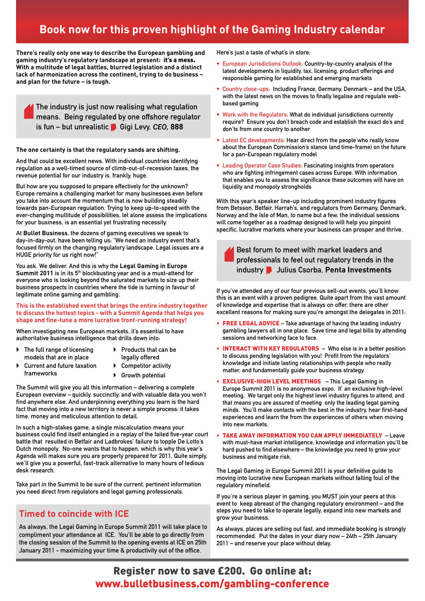### **Book now for this proven highlight of the Gaming Industry calendar**

**There's really only one way to describe the European gambling and gaming industry's regulatory landscape at present:** it's a mess. **With a multitude of legal battles, blurred legislation and a distinct lack of harmonization across the continent, trying to do business – and plan for the future – is tough.** 

The industry is just now realising what regulation means. Being regulated by one offshore regulator is fun – but unrealistic **Gigi Levy, CEO, 888** 

#### **The one certainty is that the regulatory sands are shifting.**

And that could be excellent news. With individual countries identifying regulation as a well-timed source of climb-out-of-recession taxes, the revenue potential for our industry is, frankly, huge.

But how are you supposed to prepare effectively for the unknown? Europe remains a challenging market for many businesses even before you take into account the momentum that is now building steadily towards pan-European regulation. Trying to keep up-to-speed with the ever-changing multitude of possibilities, let alone assess the implications for your business, is an essential yet frustrating necessity.

At **Bullet Business**, the dozens of gaming executives we speak to day-in-day-out, have been telling us: "We need an industry event that's focused firmly on the changing regulatory landscape. Legal issues are a HUGE priority for us right now!"

You ask. We deliver. And this is why the **Legal Gaming in Europe Summit 2011** is in its 5<sup>th</sup> blockbusting year and is a must-attend for everyone who is looking beyond the saturated markets to size up their business prospects in countries where the tide is turning in favour of legitimate online gaming and gambling.

**This is the established event that brings the entire industry together to discuss the hottest topics - with a Summit Agenda that helps you shape and fine-tune a more lucrative front-running strategy!**

When investigating new European markets, it's essential to have authoritative business intelligence that drills down into:

- $\triangleright$  The full range of licensing models that are in place
- $\blacktriangleright$  Products that can be legally offered
- ` Current and future taxation frameworks
- $\triangleright$  Competitor activity
- ▶ Growth potential

The Summit will give you all this information – delivering a complete European overview – quickly, succinctly, and with valuable data you won't find anywhere else. And underpinning everything you learn is the hard fact that moving into a new territory is never a simple process: it takes time, money and meticulous attention to detail.

In such a high-stakes game, a single miscalculation means your business could find itself entangled in a replay of the failed five-year court battle that resulted in Betfair and Ladbrokes' failure to topple De Lotto's Dutch monopoly. No-one wants that to happen, which is why this year's Agenda will makes sure you are properly prepared for 2011. Quite simply, we'll give you a powerful, fast-track alternative to many hours of tedious desk research.

Take part in the Summit to be sure of the current, pertinent information you need direct from regulators and legal gaming professionals.

#### **Timed to coincide with ICE**

As always, the Legal Gaming in Europe Summit 2011 will take place to compliment your attendance at ICE. You'll be able to go directly from the closing session of the Summit to the opening events at ICE on 25th January 2011 - maximizing your time & productivity out of the office.

Here's just a taste of what's in store:

- European Jurisdictions Outlook: Country-by-country analysis of the latest developments in liquidity, tax, licensing, product offerings and responsible gaming for established and emerging markets
- Country close-ups: Including France, Germany, Denmark and the USA, with the latest news on the moves to finally legalise and regulate webbased gaming
- Work with the Regulators: What do individual jurisdictions currently require? Ensure you don't breach code and establish the exact do's and don'ts from one country to another
- Latest EC developments: Hear direct from the people who really know about the European Commission's stance (and time-frame) on the future for a pan-European regulatory model
- Leading Operator Case Studies: Fascinating insights from operators who are fighting infringement cases across Europe. With information that enables you to assess the significance these outcomes will have on liquidity and monopoly strongholds

With this year's speaker line-up including prominent industry figures from Betsson, Betfair, Harrah's, and regulators from Germany, Denmark, Norway and the Isle of Man, to name but a few, the individual sessions will come together as a roadmap designed to will help you pinpoint specific, lucrative markets where your business can prosper and thrive.

Best forum to meet with market leaders and professionals to feel out regulatory trends in the industry Julius Csorba, **Penta Investments**

If you've attended any of our four previous sell-out events, you'll know this is an event with a proven pedigree. Quite apart from the vast amount of knowledge and expertise that is always on offer, there are other excellent reasons for making sure you're amongst the delegates in 2011:

- FREE LEGAL ADVICE Take advantage of having the leading industry gambling lawyers all in one place. Save time and legal bills by attending sessions and networking face to face.
- **INTERACT WITH KEY REGULATORS** Who else is in a better position to discuss pending legislation with you! Profit from the regulators' knowledge and initiate lasting relationships with people who really matter, and fundamentally guide your business strategy.
- EXCLUSIVE-HIGH LEVEL MEETINGS This Legal Gaming in Europe Summit 2011 is no anonymous expo. It' an exclusive high-level meeting. We target only the highest level industry figures to attend, and that means you are assured of meeting only the leading legal gaming minds. You'll make contacts with the best in the industry, hear first-hand experiences and learn the from the experiences of others when moving into new markets.
- TAKE AWAY INFORMATION YOU CAN APPLY IMMEDIATELY Leave with must-have market intelligence, knowledge and information you'll be hard pushed to find elsewhere – the knowledge you need to grow your business and mitigate risk.

The Legal Gaming in Europe Summit 2011 is your definitive guide to moving into lucrative new European markets without falling foul of the regulatory minefield.

If you're a serious player in gaming, you MUST join your peers at this event to keep abreast of the changing regulatory environment – and the steps you need to take to operate legally, expand into new markets and grow your business.

As always, places are selling out fast, and immediate booking is strongly recommended. Put the dates in your diary now – 24th – 25th January 2011 – and reserve your place without delay.

#### Register now to save £200. Go online at: www.bulletbusiness.com/gambling-conference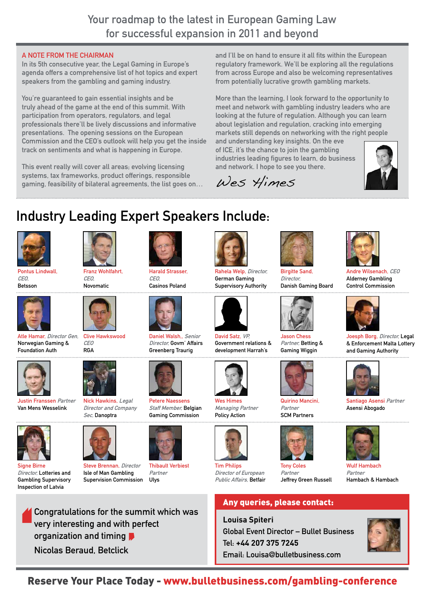### Your roadmap to the latest in European Gaming Law for successful expansion in 2011 and beyond

#### A note from the Chairman

In its 5th consecutive year, the Legal Gaming in Europe's agenda offers a comprehensive list of hot topics and expert speakers from the gambling and gaming industry.

You're guaranteed to gain essential insights and be truly ahead of the game at the end of this summit. With participation from operators, regulators, and legal professionals there'll be lively discussions and informative presentations. The opening sessions on the European Commission and the CEO's outlook will help you get the inside track on sentiments and what is happening in Europe.

This event really will cover all areas; evolving licensing systems, tax frameworks, product offerings, responsible gaming, feasibility of bilateral agreements, the list goes on… and I'll be on hand to ensure it all fits within the European regulatory framework. We'll be exploring all the regulations from across Europe and also be welcoming representatives from potentially lucrative growth gambling markets.

More than the learning, I look forward to the opportunity to meet and network with gambling industry leaders who are looking at the future of regulation. Although you can learn about legislation and regulation, cracking into emerging markets still depends on networking with the right people

and understanding key insights. On the eve of ICE, it's the chance to join the gambling industries leading figures to learn, do business and network. I hope to see you there.

> Birgitte Sand, Director,

Jason Chess Partner, Betting & Gaming Wiggin

Quirino Mancini, Partner SCM Partners

Jeffrey Green Russell

Danish Gaming Board

Wes Himes

Rahela Welp, Director, German Gaming Supervisory Authority

David Satz, VP. Government relations & development Harrah's



## Industry Leading Expert Speakers Include:







Atle Hamar, Director Gen, Norwegian Gaming & Foundation Auth



Justin Franssen Partner Van Mens Wesselink



Franz Wohlfahrt,

CEO, Novomatic

Nick Hawkins, Legal Director and Company



Clive Hawkswood

Sec, Danoptra



Signe Birne Director, Lotteries and Gambling Supervisory Inspection of Latvia



Steve Brennan, Director Isle of Man Gambling Supervision Commission



Daniel Walsh., Senior Director Govm' Affairs Greenberg Traurig



Petere Naessens Staff Member, Belgian Gaming Commission





Wes Himes Managing Partner Policy Action

Tim Philips Director of European

Public Affairs, Betfair





**Louisa Spiteri** Global Event Director – Bullet Business Tel: **+44 207 375 7245** Email: Louisa@bulletbusiness.com





Andre Wilsenach, CEO Alderney Gambling Control Commission



Joesph Borg, Director, Legal & Enforcement Malta Lottery and Gaming Authority



Santiago Asensi Partner Asensi Abogado



Wulf Hambach Partner Hambach & Hambach



Reserve Your Place Today - www.bulletbusiness.com/gambling-conference



Thibault Verbiest Partner

Ulys





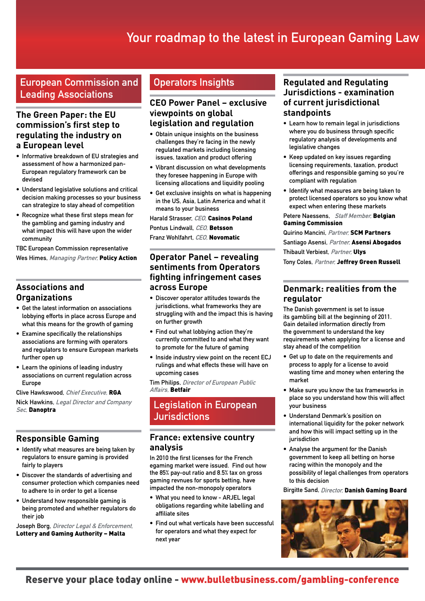## Your roadmap to the latest in European Gaming Law

European Commission and Leading Associations

#### **The Green Paper: the EU commission's first step to regulating the industry on a European level**

- Informative breakdown of EU strategies and assessment of how a harmonized pan-European regulatory framework can be devised
- Understand legislative solutions and critical decision making processes so your business can strategize to stay ahead of competition
- Recognize what these first steps mean for the gambling and gaming industry and what impact this will have upon the wider community

TBC European Commission representative Wes Himes, Managing Partner, Policy Action

#### **Associations and Organizations**

- Get the latest information on associations lobbying efforts in place across Europe and what this means for the growth of gaming
- Examine specifically the relationships associations are forming with operators and regulators to ensure European markets further open up
- Learn the opinions of leading industry associations on current regulation across Europe

Clive Hawkswood, Chief Executive, RGA Nick Hawkins, Legal Director and Company Sec, Danoptra

#### **Responsible Gaming**

- Identify what measures are being taken by regulators to ensure gaming is provided fairly to players
- Discover the standards of advertising and consumer protection which companies need to adhere to in order to get a license
- Understand how responsible gaming is being promoted and whether regulators do their job

Joseph Borg, Director Legal & Enforcement, Lottery and Gaming Authority – Malta

#### Operators Insights

#### **CEO Power Panel – exclusive viewpoints on global legislation and regulation**

- Obtain unique insights on the business challenges they're facing in the newly regulated markets including licensing issues, taxation and product offering
- Vibrant discussion on what developments they foresee happening in Europe with licensing allocations and liquidity pooling
- Get exclusive insights on what is happening in the US, Asia, Latin America and what it means to your business

Harald Strasser, CEO, Casinos Poland Pontus Lindwall, CEO, Betsson Franz Wohlfahrt, CEO, Novomatic

#### **Operator Panel – revealing sentiments from Operators fighting infringement cases across Europe**

- Discover operator attitudes towards the jurisdictions, what frameworks they are struggling with and the impact this is having on further growth
- Find out what lobbying action they're currently committed to and what they want to promote for the future of gaming
- Inside industry view point on the recent ECJ rulings and what effects these will have on upcoming cases

Tim Philips, Director of European Public Affairs, Betfair

#### Legislation in European **Jurisdictions**

#### **France: extensive country analysis**

In 2010 the first licenses for the French egaming market were issued. Find out how the 85% pay-out ratio and 8.5% tax on gross gaming revnues for sports betting, have impacted the non-monopoly operators

- What you need to know ARJEL legal obligations regarding white labelling and affiliate sites
- Find out what verticals have been successful for operators and what they expect for next year

#### **Regulated and Regulating Jurisdictions - examination of current jurisdictional standpoints**

- Learn how to remain legal in jurisdictions where you do business through specific regulatory analysis of developments and legislative changes
- Keep updated on key issues regarding licensing requirements, taxation, product offerings and responsible gaming so you're compliant with regulation
- Identify what measures are being taken to protect licensed operators so you know what expect when entering these markets

Petere Naessens. Staff Member. Belgian Gaming Commission

Quirino Mancini, Partner, **SCM Partners** Santiago Asensi, Partner, Asensi Abogados Thibault Verbiest, Partner, Ulys

Tony Coles, Partner, Jeffrey Green Russell

#### **Denmark: realities from the regulator**

The Danish government is set to issue its gambling bill at the beginning of 2011. Gain detailed information directly from the government to understand the key requirements when applying for a license and stay ahead of the competition

- Get up to date on the requirements and process to apply for a license to avoid wasting time and money when entering the market
- Make sure you know the tax frameworks in place so you understand how this will affect your business
- Understand Denmark's position on international liquidity for the poker network and how this will impact setting up in the jurisdiction
- Analyse the argument for the Danish government to keep all betting on horse racing within the monopoly and the possibility of legal challenges from operators to this decision

Birgitte Sand, Director, Danish Gaming Board

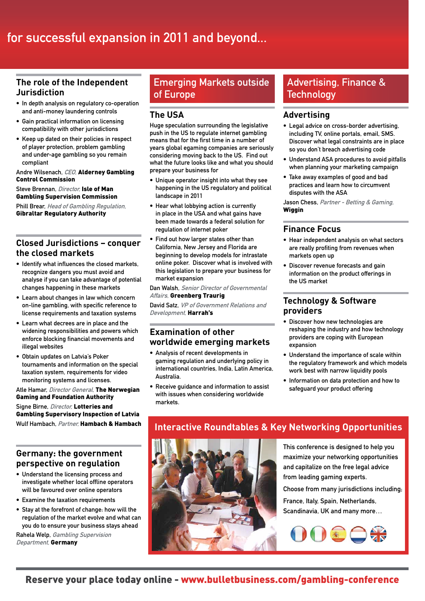## for successful expansion in 2011 and beyond...

#### **The role of the Independent Jurisdiction**

- In depth analysis on regulatory co-operation and anti-money laundering controls
- Gain practical information on licensing compatibility with other jurisdictions
- Keep up dated on their policies in respect of player protection, problem gambling and under-age gambling so you remain compliant

#### Andre Wilsenach, CEO, Alderney Gambling Control Commission

Steve Brennan, Director, Isle of Man Gambling Supervision Commission Phill Brear, Head of Gambling Regulation, Gibraltar Regulatory Authority

#### **Closed Jurisdictions – conquer the closed markets**

- Identify what influences the closed markets, recognize dangers you must avoid and analyse if you can take advantage of potential changes happening in these markets
- Learn about changes in law which concern on-line gambling, with specific reference to license requirements and taxation systems
- Learn what decrees are in place and the widening responsibilities and powers which enforce blocking financial movements and illegal websites
- Obtain updates on Latvia's Poker tournaments and information on the special taxation system, requirements for video monitoring systems and licenses.

Atle Hamar, Director General, The Norwegian Gaming and Foundation Authority

Signe Birne, *Director*, Lotteries and Gambling Supervisory Inspection of Latvia Wulf Hambach, Partner, Hambach & Hambach

#### **Germany: the government perspective on regulation**

- Understand the licensing process and investigate whether local offline operators will be favoured over online operators
- Examine the taxation requirements
- Stay at the forefront of change: how will the regulation of the market evolve and what can you do to ensure your business stays ahead

Rahela Welp, Gambling Supervision Department, Germany

#### Emerging Markets outside of Europe

#### **The USA**

Huge speculation surrounding the legislative push in the US to regulate internet gambling means that for the first time in a number of years global egaming companies are seriously considering moving back to the US. Find out what the future looks like and what you should prepare your business for

- Unique operator insight into what they see happening in the US regulatory and political landscape in 2011
- Hear what lobbying action is currently in place in the USA and what gains have been made towards a federal solution for regulation of internet poker
- Find out how larger states other than California, New Jersey and Florida are beginning to develop models for intrastate online poker. Discover what is involved with this legislation to prepare your business for market expansion

Dan Walsh, Senior Director of Governmental Affairs, Greenberg Traurig

David Satz, VP of Government Relations and Development, Harrah's

#### **Examination of other worldwide emerging markets**

- Analysis of recent developments in gaming regulation and underlying policy in international countries, India, Latin America, Australia.
- Receive guidance and information to assist with issues when considering worldwide markets.

#### Advertising, Finance & **Technology**

#### **Advertising**

- Legal advice on cross-border advertising, including TV, online portals, email, SMS. Discover what legal constraints are in place so you don't breach advertising code
- Understand ASA procedures to avoid pitfalls when planning your marketing campaign
- Take away examples of good and bad practices and learn how to circumvent disputes with the ASA

Jason Chess, Partner - Betting & Gaming, **Wiggin** 

#### **Finance Focus**

- Hear independent analysis on what sectors are really profiting from revenues when markets open up
- Discover revenue forecasts and gain information on the product offerings in the US market

#### **Technology & Software providers**

- Discover how new technologies are reshaping the industry and how technology providers are coping with European expansion
- Understand the importance of scale within the regulatory framework and which models work best with narrow liquidity pools
- Information on data protection and how to safeguard your product offering

#### **Interactive Roundtables & Key Networking Opportunities**



This conference is designed to help you maximize your networking opportunities and capitalize on the free legal advice from leading gaming experts.

Choose from many jurisdictions including;

France, Italy, Spain, Netherlands, Scandinavia, UK and many more…

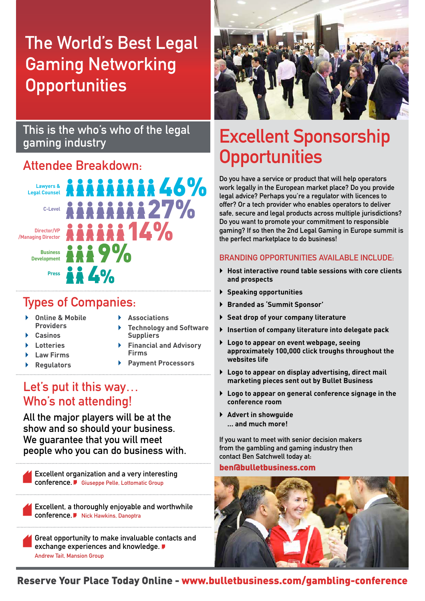## The World's Best Legal Gaming Networking **Opportunities**

### This is the who's who of the legal gaming industry

## Attendee Breakdown:



## Types of Companies:

- ` **Online & Mobile Providers**
- ` **Casinos**
- ` **Lotteries**
- ` **Law Firms**
- ` **Regulators**
- ` **Associations**
- **Suppliers** ` **Financial and Advisory Firms**

` **Technology and Software**

` **Payment Processors**

## Let's put it this way… Who's not attending!

All the major players will be at the show and so should your business. We guarantee that you will meet people who you can do business with.

Excellent organization and a very interesting conference. Giuseppe Pelle, Lottomatic Group

Excellent, a thoroughly enjoyable and worthwhile conference. Nick Hawkins, Danoptra

Great opportunity to make invaluable contacts and exchange experiences and knowledge. Andrew Tait, Mansion Group



## Excellent Sponsorship **Opportunities**

Do you have a service or product that will help operators work legally in the European market place? Do you provide legal advice? Perhaps you're a regulator with licences to offer? Or a tech provider who enables operators to deliver safe, secure and legal products across multiple jurisdictions? Do you want to promote your commitment to responsible gaming? If so then the 2nd Legal Gaming in Europe summit is the perfect marketplace to do business!

#### Branding opportunities available include:

- ` **Host interactive round table sessions with core clients and prospects**
- ` **Speaking opportunities**
- ` **Branded as 'Summit Sponsor'**
- ` **Seat drop of your company literature**
- ` **Insertion of company literature into delegate pack**
- ` **Logo to appear on event webpage, seeing approximately 100,000 click troughs throughout the websites life**
- ` **Logo to appear on display advertising, direct mail marketing pieces sent out by Bullet Business**
- ` **Logo to appear on general conference signage in the conference room**
- ` **Advert in showguide … and much more!**

If you want to meet with senior decision makers from the gambling and gaming industry then contact Ben Satchwell today at:

#### ben@bulletbusiness.com



Reserve Your Place Today Online - www.bulletbusiness.com/gambling-conference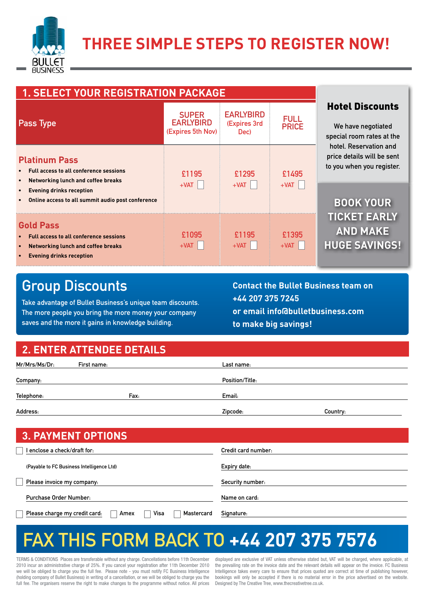

| <b>1. SELECT YOUR REGISTRATION PACKAGE</b>                                                                                                        |                                                       |                                          |                             |                                                                                   |
|---------------------------------------------------------------------------------------------------------------------------------------------------|-------------------------------------------------------|------------------------------------------|-----------------------------|-----------------------------------------------------------------------------------|
| Pass Type                                                                                                                                         | <b>SUPER</b><br><b>EARLYBIRD</b><br>(Expires 5th Nov) | <b>EARLYBIRD</b><br>(Expires 3rd<br>Dec) | <b>FULL</b><br><b>PRICE</b> | <b>Hotel Discounts</b><br>We have negotiated<br>special room rates at the         |
| <b>Platinum Pass</b><br><b>Full access to all conference sessions</b><br><b>Networking lunch and coffee breaks</b>                                | £1195                                                 | £1295                                    | £1495                       | hotel. Reservation and<br>price details will be sent<br>to you when you register. |
| <b>Evening drinks reception</b><br>Online access to all summit audio post conference                                                              | $+VAT$                                                | $+VAT$                                   | $+VAT$                      | <b>BOOK YOUR</b>                                                                  |
| <b>Gold Pass</b><br><b>Full access to all conference sessions</b><br><b>Networking lunch and coffee breaks</b><br><b>Evening drinks reception</b> | £1095<br>$+VAT$                                       | £1195<br>$+VAT$                          | £1395<br>$+VAT$             | <b>TICKET EARLY</b><br><b>AND MAKE</b><br><b>HUGE SAVINGS!</b>                    |

## Group Discounts

Take advantage of Bullet Business's unique team discounts. The more people you bring the more money your company saves and the more it gains in knowledge building.

**Contact the Bullet Business team on +44 207 375 7245 or email info@bulletbusiness.com to make big savings!**

### **2. Enter Attendee details**

| Mr/Mrs/Ms/Dr: | First name: | Last name:      |          |
|---------------|-------------|-----------------|----------|
|               |             | Position/Title: |          |
| Company:      |             |                 |          |
| Telephone:    | Fax:        | Email:          |          |
| Address:      |             | Zipcode:        | Country: |

| <b>3. PAYMENT OPTIONS</b>                                   |                     |
|-------------------------------------------------------------|---------------------|
| I enclose a check/draft for:                                | Credit card number: |
| (Payable to FC Business Intelligence Ltd)                   | Expiry date:        |
| Please invoice my company:                                  | Security number:    |
| Purchase Order Number:                                      | Name on card:       |
| Visa<br>Please charge my credit card.<br>Mastercard<br>Amex | Signature:          |

## FAX THIS FORM BACK TO **+44 207 375 7576**

TERMS & CONDITIONS Places are transferable without any charge. Cancellations before 11th December 2010 incur an administrative charge of 25%. If you cancel your registration after 11th December 2010 we will be obliged to charge you the full fee. Please note - you must notify FC Business Intelligence (holding company of Bullet Business) in writing of a cancellation, or we will be obliged to charge you the full fee. The organisers reserve the right to make changes to the programme without notice. All prices

displayed are exclusive of VAT unless otherwise stated but, VAT will be charged, where applicable, at the prevailing rate on the invoice date and the relevant details will appear on the invoice. FC Business Intelligence takes every care to ensure that prices quoted are correct at time of publishing however, bookings will only be accepted if there is no material error in the price advertised on the website. Designed by The Creative Tree, www.thecreativetree.co.uk.